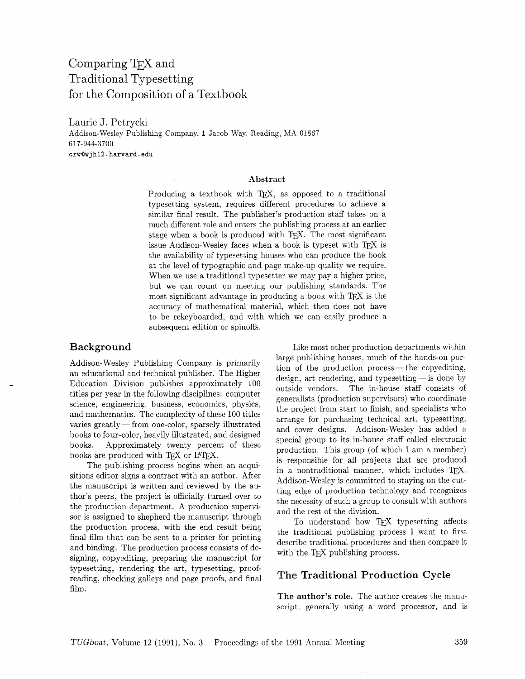# Comparing TEX and Traditional Typesetting for the Composition of a Textbook

Laurie J. Petrycki Addison-Wesley Publishing Company, 1 Jacob Way, Reading, MA 01867 617-944-3700 **crwQwjhl2.harvard.edu** 

#### Abstract

Producing a textbook with TEX, as opposed to a traditional typesetting system, requires different procedures to achieve a similar final result. The publisher's production staff takes on a much different role and enters the publishing process at an earlier stage when a book is produced with TFX. The most significant issue Addison-Wesley faces when a book is typeset with TFX is the availability of typesetting houses who can produce the book at the level of typographic and page make-up quality we require. When we use a traditional typesetter we may pay a higher price, but we can count on meeting our publishing standards. The most significant advantage in producing a book with TEX is the accuracy of mathematical material, which then does not have to be rekeyboarded, and with which we can easily produce a subsequent edition or spinoffs.

### Background

Addison-Wesley Publishing Company is primarily an educational and technical publisher. The Higher Education Division publishes approximately 100 titles per year in the following disciplines: computer science, engineering, business, economics, physics, and mathematics. The complexity of these 100 titles varies greatly - from one-color, sparsely illustrated books to four-color, heavily illustrated, and designed books. Approximately twenty percent of these books are produced with TFX or IATFX.

The publishing process begins when an acquisitions editor signs a contract with an author. After the manuscript is written and reviewed by the author's peers, the project is officially turned over to the production department. A production supervisor is assigned to shepherd the manuscript through the production process, with the end result being final film that can be sent to a printer for printing and binding. The production process consists of designing, copyediting, preparing the manuscript for typesetting, rendering the art, typesetting, proofreading, checking galleys and page proofs, and final film.

Like most other production departments within large publishing houses, much of the hands-on portion of the production process—the copyediting, arge publishing houses, much of the hands-on por-<br>tion of the production process—the copyediting,<br>design, art rendering, and typesetting—is done by outside vendors. The in-house staff consists of generalists (production supervisors) who coordinate the project from start to finish, and specialists who arrange for purchasing technical art, typesetting, and cover designs. Addison-Wesley has added a special group to its in-house staff called electronic production. This group (of which I am a member) is responsible for all projects that are produced in a nontraditional manner, which includes  $T_F X$ . Addison-Wesley is committed to staying on the cutting edge of production technology and recognizes the necessity of such a group to consult with authors and the rest of the division.

To understand how TE,X typesetting affects the traditional publishing process I want to first describe traditional procedures and then compare it with the TEX publishing process.

## The Traditional Production Cycle

The author's role. The author creates the manuscript, generally using a word processor, and is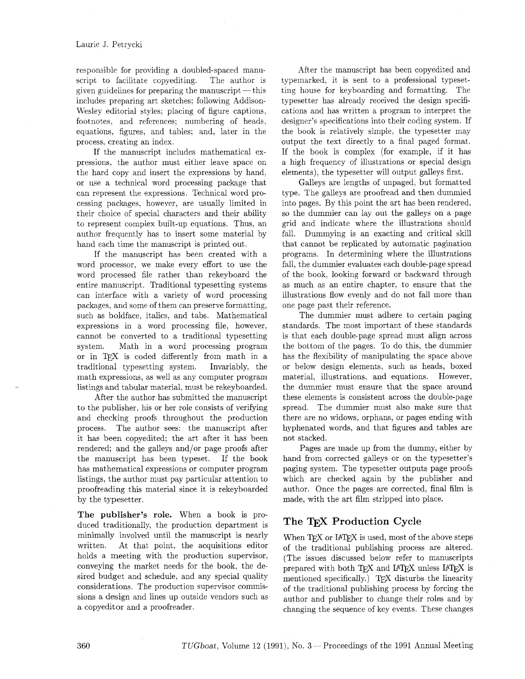responsible for providing a doubled-spaced manuscript to facilitate copyediting. The author is given guidelines for preparing the manuscript  $-$  this includes preparing art sketches; following Addison-Wesley editorial styles; placing of figure captions, footnotes. and references; numbering of heads. equations, figures, and tables; and. later in the process, creating an index.

If the manuscript includes mathematical expressions, the author must either leave space on the hard copy and insert the expressions by hand, or use a technical word processing package that can represent the expressions. Technical word processing packages. however, are usually limited in their choice of special characters and their ability to represent complex built-up equations. Thus, an author frequently has to insert some material by hand each time the manuscript is printed out.

If the manuscript has been created with a word processor, we make every effort to use the word processed file rather than rekeyboard the entire manuscript. Traditional typesetting systems can interface with a variety of word processing packages, and some of them can preserve formatting, such as boldface. italics, and tabs. Mathematical expressions in a word processing file, however, cannot be converted to a traditional typesetting system. Math in a word processing program or in TFX is coded differently from math in a traditional typesetting system. Invariably, the math expressions, as well as any computer program listings and tabular material. must be rekeyboarded.

After the author has submitted the manuscript to the publisher, his or her role consists of verifying and checking proofs throughout the production process. The author sees: the manuscript after it has been copyedited; the art after it has been rendered; and the galleys and/or page proofs after the manuscript has been typeset. If the book has mathematical expressions or computer program listings, the author must pay particular attention to proofreading this material since it is rekeyboarded by the typesetter.

**The publisher's role.** When a book is produced traditionally, the production department is minimally involved until the manuscript is nearly written. At that point, the acquisitions editor holds a meeting with the production supervisor. conveying the market needs for the book, the desired budget and schedule, and any special quality considerations. The production supervisor commissions a design and lines up outside vendors such as a copyeditor and a proofreader.

After the manuscript has been copyedited and typemarked. it is sent to a professional typesetting house for keyboarding and formatting. The typesetter has already received the design specifications and has written a program to interpret the designer's specifications into their coding system. If the book is relatively simple, the typesetter may output the text directly to a final paged format. If the book is complex (for example, if it has a high frequency of illustrations or special design elements), the typesetter will output galleys first.

Galleys are lengths of unpaged. but formatted type. The galleys are proofread and then dummied into pages. By this point the art has been rendered. so the dummier can lay out the galleys on a page grid and indicate where the illustrations should fall. Dummying is an exacting and critical skill that cannot be replicated by automatic pagination programs. In determining where the illustrations fall, the dummier evaluates each double-page spread of the book, looking forward or backward through as much as an entire chapter. to ensure that the illustrations flow evenly and do not fall more than one page past their reference.

The dummier must adhere to certain paging standards. The most important of these standards is that each double-page spread must align across the bottom of the pages. To do this, the dummier has the flexibility of manipulating the space above or below design elements, such as heads, boxed material, illustrations, and equations. However, the dummier must ensure that the space around these elements is consistent across the double-page spread. The dummier must also make sure that there are no widows, orphans, or pages ending with hyphenated words, and that figures and tables are not stacked.

Pages are made up from the dummy, either by hand from corrected galleys or on the typesetter's paging system. The typesetter outputs page proofs which are checked again by the publisher and author. Once the pages are corrected, final film is made, with the art film stripped into place.

## **The** TEX **Production Cycle**

When TEX or IATEX is used, most of the above steps of the traditional publishing process are altered. (The issues discussed below refer to manuscripts prepared with both TFX and IATFX unless IATFX is mentioned specifically.) TEX disturbs the linearity of the traditional publishing process by forcing the author and publisher to change their roles and by changing the sequence of key events. These changes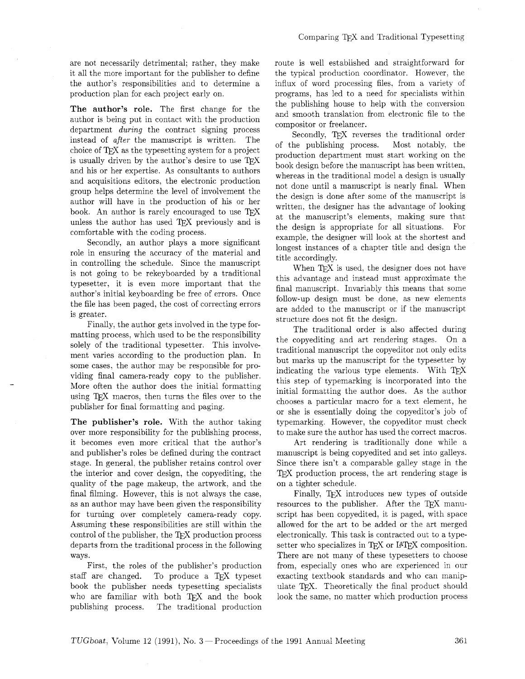are not necessarily detrimental; rather, they make it all the more important for the publisher to define the author's responsibilities and to determine a production plan for each project early on.

The author's role. The first change for the author is being put in contact with the production department **during** the contract signing process instead of after the manuscript is written. The choice of TFX as the typesetting system for a project is usually driven by the author's desire to use TEX and his or her expertise. As consultants to authors and acquisitions editors, the electronic production group helps determine the level of involvement the author will have in the production of his or her book. An author is rarely encouraged to use TEX unless the author has used TFX previously and is comfortable with the coding process.

Secondly, an author plays a more significant role in ensuring the accuracy of the material and in controlling the schedule. Since the manuscript is not going to be rekeyboarded by a traditional typesetter, it is even more important that the author's initial keyboarding be free of errors. Once the file has been paged, the cost of correcting errors is greater.

Finally, the author gets involved in the type formatting process, which used to be the responsibility solely of the traditional typesetter. This involvement varies according to the production plan. In some cases, the author may be responsible for providing final camera-ready copy to the publisher. More often the author does the initial formatting using TFX macros, then turns the files over to the publisher for final formatting and paging.

The publisher's role. With the author taking over more responsibility for the publishing process, it becomes even more critical that the author's and publisher's roles be defined during the contract stage. In general, the publisher retains control over the interior and cover design, the copyediting, the quality of the page makeup, the artwork, and the final filming. However, this is not always the case. as an author may have been given the responsibility for turning over completely camera-ready copy. Assuming these responsibilities are still within the control of the publisher, the TFX production process departs from the traditional process in the following ways.

First, the roles of the publisher's production staff are changed. To produce a TFX typeset book the publisher needs typesetting specialists who are familiar with both TFX and the book publishing process. The traditional production route is well established and straightforward for the typical production coordinator. However, the influx of word processing files, from a variety of programs, has led to a need for specialists within the publishing house to help with the conversion and smooth translation from electronic file to the compositor or freelancer.

Secondly, TEX reverses the traditional order of the publishing process. Most notably, the production department must start working on the book design before the manuscript has been written. whereas in the traditional model a design is usually not done until a manuscript is nearly final. When the design is done after some of the manuscript is written. the designer has the advantage of looking at the manuscript's elements, making sure that the design is appropriate for all situations. For example, the designer will look at the shortest and longest instances of a chapter title and design the title accordingly.

When  $T_F X$  is used, the designer does not have this advantage and instead must approximate the final manuscript. Invariably this means that some follow-up design must be done, as new elements are added to the manuscript or if the manuscript structure does not fit the design.

The traditional order is also affected during the copyediting and art rendering stages. On a traditional manuscript the copyeditor not only edits but marks up the manuscript for the typesetter by indicating the various type elements. With TFX this step of typemarking is incorporated into the initial formatting the author does. As the author chooses a particular macro for a text element, he or she is essentially doing the copyeditor's job of typemarking. However, the copyeditor must check to make sure the author has used the correct macros.

Art rendering is traditionally done while a manuscript is being copyedited and set into galleys. Since there isn't a comparable galley stage in the TEX production process, the art rendering stage is on a tighter schedule.

Finally. TEX introduces new types of outside resources to the publisher. After the TEX manuscript has been copyedited. it is paged, with space allowed for the art to be added or the art merged electronically. This task is contracted out to a typesetter who specializes in TFX or IATFX composition. There are not many of these typesetters to choose from, especially ones who are experienced in our exacting textbook standards and who can manipulate T<sub>F</sub>X. Theoretically the final product should look the same. no matter which production process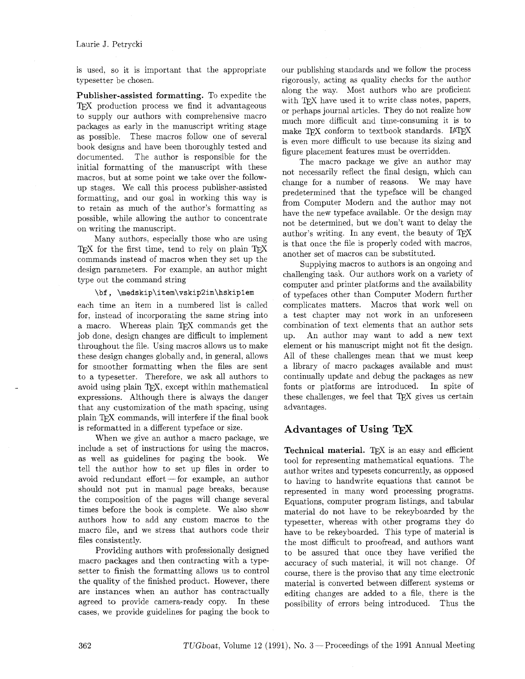#### Laurie J. Petrycki

is used, so it is important that the appropriate typesetter be chosen.

Publisher-assisted formatting, To expedite the T<sub>F</sub>X production process we find it advantageous to supply our authors with comprehensive macro packages as early in the manuscript writing stage as possible. These macros follow one of several book designs and have been thoroughly tested and documented. The author is responsible for the initial formatting of the manuscript with these macros, but at some point we take over the followup stages. We call this process publisher-assisted formatting, and our goal in working this way is to retain as much of the author's formatting as possible, while allowing the author to concentrate on writing the manuscript.

Many authors, especially those who are using TFX for the first time, tend to rely on plain TFX commands instead of macros when they set up the design parameters. For example, an author might type out the command string

#### \bf, \medskip\item\vskip2in\hskip1em

each time an item in a numbered list is called for. instead of incorporating the same string into a macro. Whereas plain TEX commands get the job done, design changes are difficult to implement throughout the file. Using macros allows us to make these design changes globally and. in general. allows for smoother formatting when the files are sent to a typesetter. Therefore, we ask all authors to avoid using plain TFX, except within mathematical expressions. Although there is always the danger that any customization of the math spacing, using plain TFX commands, will interfere if the final book is reformatted in a different typeface or size.

When we give an author a macro package, we include a set of instructions for using the macros. as well as guidelines for paging the book. We tell the author how to set up files in order to avoid redundant  $\text{effort}-\text{for example}$ , an author should not put in manual page breaks, because the composition of the pages will change several times before the book is complete. We also show authors how to add any custom macros to the macro file, and we stress that authors code their files consistently.

Providing authors with professionally designed macro packages and then contracting with a typesetter to finish the formatting allows us to control the quality of the finished product. However, there are instances when an author has contractually agreed to provide camera-ready copy. In these cases, we provide guidelines for paging the book to

our publishing standards and we follow the process rigorously, acting as quality checks for the author along the way. Most authors who are proficient with T<sub>F</sub>X have used it to write class notes, papers, or perhaps journal articles. They do not realize how much more difficult and time-consuming it is to make  $TFX$  conform to textbook standards.  $IATEX$ is even more difficult to use because its sizing and figure placement features must be overridden.

The macro package we give an author may not necessarily reflect the final design, which can change for a number of reasons. We may have predetermined that the typeface will be changed from Computer Modern and the author may not have the new typeface available. Or the design may not be determined, but we don't want to delay the author's writing. In any event, the beauty of TEX is that once the file is properly coded with macros. another set of macros can be substituted.

Supplying macros to authors is an ongoing and challenging task. Our authors work on a variety of computer and printer platforms and the availability of typefaces other than Computer Modern further complicates matters. Macros that work well on a test chapter may not work in an unforeseen combination of text elements that an author sets up. An author may want to add a new text element or his manuscript might not fit the design. All of these challenges mean that we must keep a library of macro packages available and must continually update and debug the packages as new fonts or platforms are introduced. In spite of these challenges, we feel that TEX gives us certain advantages.

## Advantages of Using

Technical material. TFX is an easy and efficient tool for representing mathematical equations. The author writes and typesets concurrently, as opposed to having to handwrite equations that cannot be represented in many word processing programs. Equations, computer program listings, and tabular material do not have to be rekeyboarded by the typesetter, whereas with other programs they do have to be rekeyboarded. This type of material is the most difficult to proofread, and authors want to be assured that once they have verified the accuracy of such material, it will not change. Of course, there is the proviso that any time electronic material is converted between different systems or editing changes are added to a file, there is the possibility of errors being introduced. Thus the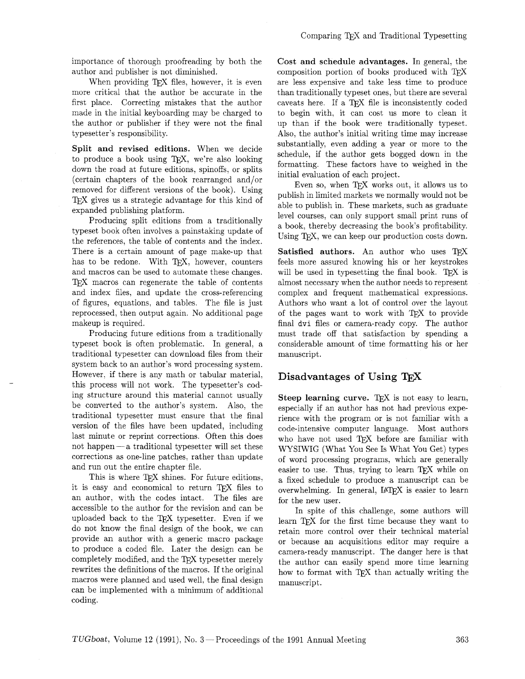importance of thorough proofreading by both the author and publisher is not diminished.

When providing T<sub>F</sub>X files, however, it is even more critical that the author be accurate in the first place. Correcting mistakes that the author made in the initial keyboarding may be charged to the author or publisher if they were not the final typesetter's responsibility.

Split and revised editions. When we decide<br>to produce a book using TEX, we're also looking<br>down the road at future editions, spinoffs, or splits<br>(certain chapters of the book rearranged and/or<br>(certain chapters of the book

Producing split editions from a traditionally<br>typeset book often involves a painstaking update of a book, thereby decreasing the book's profitability.<br>the references, the table of contents and the index.<br> $\frac{1}{2}$  Using TE There is a certain amount of page make-up that has to be redone. With TFX, however, counters and macros can be used to automate these changes. TEX macros can regenerate the table of contents and index files, and update the cross-referencing of figures, equations, and tables. The file is just reprocessed, then output again. No additional page makeup is required.

Producing future editions from a traditionally typeset book is often problematic. In general, a traditional typesetter can download files from their system back to an author's word processing system. However, if there is any math or tabular material. this process will not work. The typesetter's coding structure around this material cannot usually be converted to the author's system. Also, the traditional typesetter must ensure that the final version of the files have been updated, including last minute or reprint corrections. Often this does not happen—a traditional typesetter will set these corrections as one-line patches, rather than update and run out the entire chapter file.

This is where TEX shines. For future editions, it is easy and economical to return T<sub>F</sub>X files to an author, with the codes intact. The files are accessible to the author for the revision and can be uploaded back to the TFX typesetter. Even if we do not know the final design of the book, we can provide an author with a generic macro package to produce a coded file. Later the design can be completely modified, and the TFX typesetter merely rewrites the definitions of the macros. If the original macros were planned and used well. the final design can be implemented with a minimum of additional coding.

Cost and schedule advantages. In general. the composition portion of books produced with TFX are less expensive and take less time to produce than traditionally typeset ones, but there are several caveats here. If a TEX file is inconsistently coded to begin with, it can cost us more to clean it up than if the book were traditionally typeset. Also, the author's initial writing time may increase

Satisfied authors. An author who uses TFX feels more assured knowing his or her keystrokes will be used in typesetting the final book. T $FX$  is almost necessary when the author needs to represent complex and frequent mathematical expressions. Authors who want a lot of control over the layout of the pages want to work with TFX to provide final dvi files or camera-ready copy. The author must trade off that satisfaction by spending a considerable amount of time formatting his or her manuscript.

## Disadvantages of Using

Steep learning curve. T $\nabla X$  is not easy to learn, especially if an author has not had previous experience with the program or is not familiar with a code-intensive computer language. Most authors who have not used TEX before are familiar with WYSIWIG (What You See Is What You Get) types of word processing programs, which are generally easier to use. Thus, trying to learn  $T<sub>F</sub>X$  while on a fixed schedule to produce a manuscript can be overwhelming. In general, IATEX is easier to learn for the new user.

In spite of this challenge, some authors will learn TFX for the first time because they want to retain more control over their technical material or because an acquisitions editor may require a camera-ready manuscript. The danger here is that the author can easily spend more time learning how to format with TFX than actually writing the manuscript.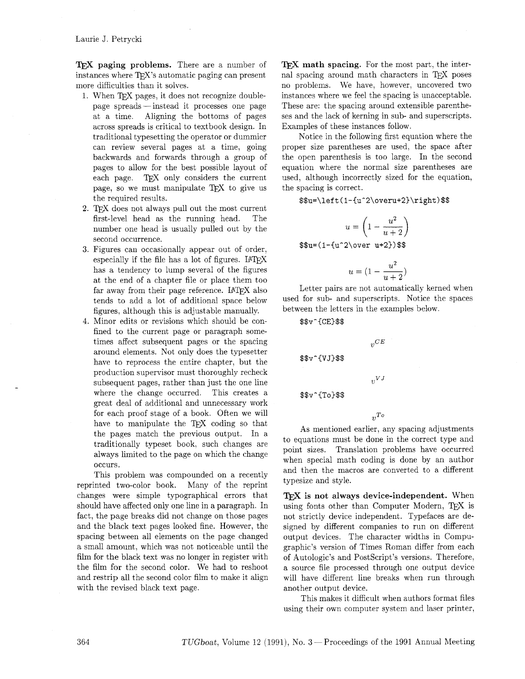TEX **paging problems.** There are a number of instances where TFX's automatic paging can present more difficulties than it solves.

- 1. When T<sub>EX</sub> pages, it does not recognize double-<br>page spreads instead it processes one page at a time. Aligning the bottoms of pages across spreads is critical to textbook design. In traditional typesetting the operator or dummier can review several pages at a time, going backwards and forwards through a group of pages to allow for the best possible layout of each page. TEX only considers the current page, so we must manipulate TFX to give us the required results.
- 2. T<sub>F</sub>X does not always pull out the most current first-level head as the running head. The number one head is usually pulled out by the second occurrence.
- 3. Figures can occasionally appear out of order, especially if the file has a lot of figures. IATEX has a tendency to lump several of the figures at the end of a chapter file or place them too far away from their page reference. IATFX also tends to add a lot of additional space below figures, although this is adjustable manually.
- 4. Minor edits or revisions which should be confined to the current page or paragraph sometimes affect subsequent pages or the spacing around elements. Not only does the typesetter have to reprocess the entire chapter, but the production supervisor must thoroughly recheck subsequent pages, rather than just the one line where the change occurred. This creates a great deal of additional and unnecessary work for each proof stage of a book. Often we will have to manipulate the TFX coding so that the pages match the previous output. In a traditionally typeset book, such changes are always limited to the page on which the change occurs.

This problem was compounded on a recently reprinted two-color book. Many of the reprint changes were simple typographical errors that should have affected only one line in a paragraph. In fact, the page breaks did not change on those pages and the black text pages looked fine. However, the spacing between all elements on the page changed a small amount, which was not noticeable until the film for the black text was no longer in register with the film for the second color. We had to reshoot and restrip all the second color film to make it align with the revised black text page.

**TEX** math spacing. For the most part, the internal spacing around math characters in TFX poses no problems. We have, however, uncovered two instances where we feel the spacing is unacceptable. These are: the spacing around extensible parentheses and the lack of kerning in sub- and superscripts. Examples of these instances follow.

Notice in the following first equation where the proper size parentheses are used, the space after the open parenthesis is too large. In the second equation where the normal size parentheses are used, although incorrectly sized for the equation, the spacing is correct.

\$\$u=\left(1-{u^2\overu+2}\right)\$\$

$$
u = \left(1 - \frac{u^2}{u+2}\right)
$$

 $$u=(1-fu^2\overline{v} + 2})$ \$\$

$$
u=(1-\frac{u^2}{u+2})
$$

Letter pairs are not automatically kerned when used for sub- and superscripts. Notice the spaces between the letters in the examples below.

 $_{\eta}CE$ 

 $v^{VJ}$ 

**\$\$v-CCE3\$\$** 

\$\$v^{VJ}\$\$

\$\$v^{To}\$\$

As mentioned earlier, any spacing adjustments to equations must be done in the correct type and point sizes. Translation problems have occurred when special math coding is done by an author and then the macros are converted to a different typesize and style.

*vTo* 

TEX **is not always device-independent.** When using fonts other than Computer Modern, TEX is not strictly device independent. Typefaces are designed by different companies to run on different output devices. The character widths in Compugraphic's version of Times Roman differ from each of Autologic's and PostScript's versions. Therefore, a source file processed through one output device will have different line breaks when run through another output device.

This makes it difficult when authors format files using their own computer system and laser printer,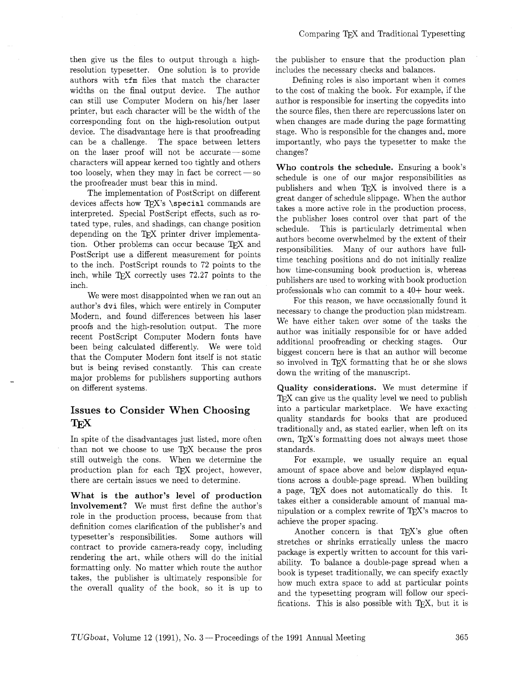then give us the files to output through a highresolution typesetter. One solution is to provide authors with tfm files that match the character widths on the final output device. The author can still use Computer Modern on his/her laser printer, but each character will be the width of the corresponding font on the high-resolution output device. The disadvantage here is that proofreading can be a challenge. The space between letters on the laser proof will not be accurate-some characters will appear kerned too tightly and others too loosely, when they may in fact be correct  $-\text{so}$ the proofreader must bear this in mind.

The implementation of PostScript on different devices affects how TEX's  $\searrow$  special commands are interpreted. Special PostScript effects, such as rotated type, rules, and shadings. can change position depending on the TEX printer driver implementation. Other problems can occur because TFX and PostScript use a different measurement for points to the inch. PostScript rounds to 72 points to the inch, while TFX correctly uses  $72.27$  points to the inch.

We were most disappointed when we ran out an author's **dvi** files, which were entirely in Computer Modern, and found differences between his laser proofs and the high-resolution output. The more recent PostScript Computer Modern fonts have been being calculated differently. We were told that the Computer Modern font itself is not static but is being revised constantly. This can create major problems for publishers supporting authors on different systems.

## **Issues to Consider When Choosing**  TFX

In spite of the disadvantages just listed, more often than not we choose to use TFX because the pros still outweigh the cons. When we determine the production plan for each TFX project, however, there are certain issues we need to determine.

**What is the author's level of production involvement?** We must first define the author's role in the production process, because from that definition comes clarification of the publisher's and typesetter's responsibilities. Some authors will contract to provide camera-ready copy, including rendering the art, while others will do the initial formatting only. No matter which route the author takes, the publisher is ultimately responsible for the overall quality of the book, so it is up to the publisher to ensure that the production plan includes the necessary checks and balances.

Defining roles is also important when it comes to the cost of making the book. For example, if the author is responsible for inserting the copyedits into the source files, then there are repercussions later on when changes are made during the page formatting stage. Who is responsible for the changes and, more importantly, who pays the typesetter to make the changes?

**Who controls the schedule.** Ensuring a book's schedule is one of our major responsibilities as publishers and when TFX is involved there is a great danger of schedule slippage. When the author takes a more active role in the production process. the publisher loses control over that part of the schedule. This is particularly detrimental when authors become overwhelmed by the extent of their responsibilities. Many of our authors have fulltime teaching positions and do not initially realize how time-consuming book production is, whereas publishers are used to working with book production professionals who can commit to a 40+ hour week.

For this reason, we have occassionally found it necessary to change the production plan midstream. We have either taken over some of the tasks the author was initially responsible for or have added additional proofreading or checking stages. Our biggest concern here is that an author will become so involved in TFX formatting that he or she slows down the writing of the manuscript.

**Quality considerations.** We must determine if TFX can give us the quality level we need to publish into a particular marketplace. We have exacting quality standards for books that are produced traditionally and, as stated earlier, when left on its own, TFX's formatting does not always meet those standards.

For example, we usually require an equal amount of space above and below displayed equations across a double-page spread. When building a page, TEX does not automatically do this. It takes either a considerable amount of manual manipulation or a complex rewrite of  $T_F X$ 's macros to achieve the proper spacing.

Another concern is that TFX's glue often stretches or shrinks erratically unless the macro package is expertly written to account for this variability. To balance a double-page spread when a book is typeset traditionally, we can specify exactly how much extra space to add at particular points and the typesetting program will follow our specifications. This is also possible with  $T<sub>E</sub>X$ , but it is